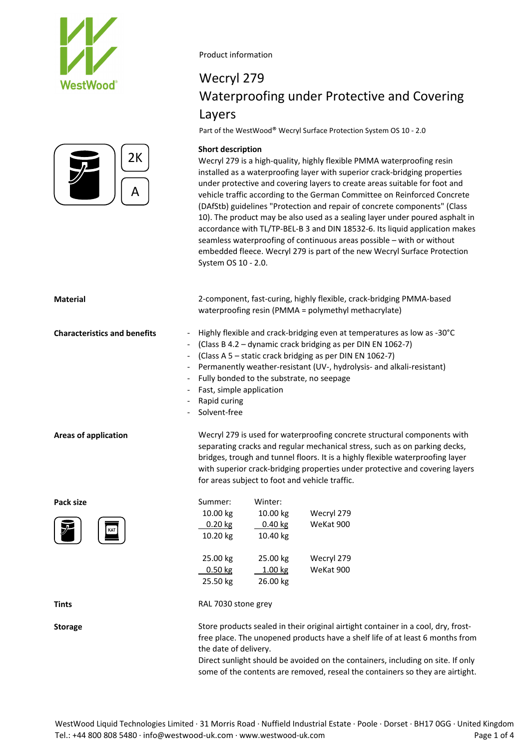



### Wecryl 279 Waterproofing under Protective and Covering Layers

Part of the WestWood® Wecryl Surface Protection System OS 10 ‐ 2.0

### **Short description**

Wecryl 279 is a high-quality, highly flexible PMMA waterproofing resin installed as a waterproofing layer with superior crack‐bridging properties under protective and covering layers to create areas suitable for foot and vehicle traffic according to the German Committee on Reinforced Concrete (DAfStb) guidelines "Protection and repair of concrete components" (Class 10). The product may be also used as a sealing layer under poured asphalt in accordance with TL/TP‐BEL‐B 3 and DIN 18532‐6. Its liquid application makes seamless waterproofing of continuous areas possible – with or without embedded fleece. Wecryl 279 is part of the new Wecryl Surface Protection System OS 10 ‐ 2.0.

| <b>Material</b>                     | 2-component, fast-curing, highly flexible, crack-bridging PMMA-based<br>waterproofing resin (PMMA = polymethyl methacrylate)                                                                                                                                                                                                                                                         |                       |            |  |  |  |  |  |
|-------------------------------------|--------------------------------------------------------------------------------------------------------------------------------------------------------------------------------------------------------------------------------------------------------------------------------------------------------------------------------------------------------------------------------------|-----------------------|------------|--|--|--|--|--|
| <b>Characteristics and benefits</b> | Highly flexible and crack-bridging even at temperatures as low as -30°C<br>(Class B 4.2 – dynamic crack bridging as per DIN EN 1062-7)<br>(Class A 5 - static crack bridging as per DIN EN 1062-7)<br>Permanently weather-resistant (UV-, hydrolysis- and alkali-resistant)<br>Fully bonded to the substrate, no seepage<br>Fast, simple application<br>Rapid curing<br>Solvent-free |                       |            |  |  |  |  |  |
| <b>Areas of application</b>         | Wecryl 279 is used for waterproofing concrete structural components with<br>separating cracks and regular mechanical stress, such as on parking decks,<br>bridges, trough and tunnel floors. It is a highly flexible waterproofing layer<br>with superior crack-bridging properties under protective and covering layers<br>for areas subject to foot and vehicle traffic.           |                       |            |  |  |  |  |  |
| Pack size                           | Summer:                                                                                                                                                                                                                                                                                                                                                                              | Winter:               |            |  |  |  |  |  |
|                                     | 10.00 kg                                                                                                                                                                                                                                                                                                                                                                             | 10.00 kg              | Wecryl 279 |  |  |  |  |  |
|                                     | $0.20$ kg<br>10.20 kg                                                                                                                                                                                                                                                                                                                                                                | $0.40$ kg<br>10.40 kg | WeKat 900  |  |  |  |  |  |
|                                     | 25.00 kg                                                                                                                                                                                                                                                                                                                                                                             | 25.00 kg              | Wecryl 279 |  |  |  |  |  |
|                                     | $0.50$ kg                                                                                                                                                                                                                                                                                                                                                                            | 1.00 kg               | WeKat 900  |  |  |  |  |  |
|                                     | 25.50 kg                                                                                                                                                                                                                                                                                                                                                                             | 26.00 kg              |            |  |  |  |  |  |
| <b>Tints</b>                        | RAL 7030 stone grey                                                                                                                                                                                                                                                                                                                                                                  |                       |            |  |  |  |  |  |
| <b>Storage</b>                      | Store products sealed in their original airtight container in a cool, dry, frost-<br>free place. The unopened products have a shelf life of at least 6 months from<br>the date of delivery.<br>Direct sunlight should be avoided on the containers, including on site. If only<br>some of the contents are removed, reseal the containers so they are airtight.                      |                       |            |  |  |  |  |  |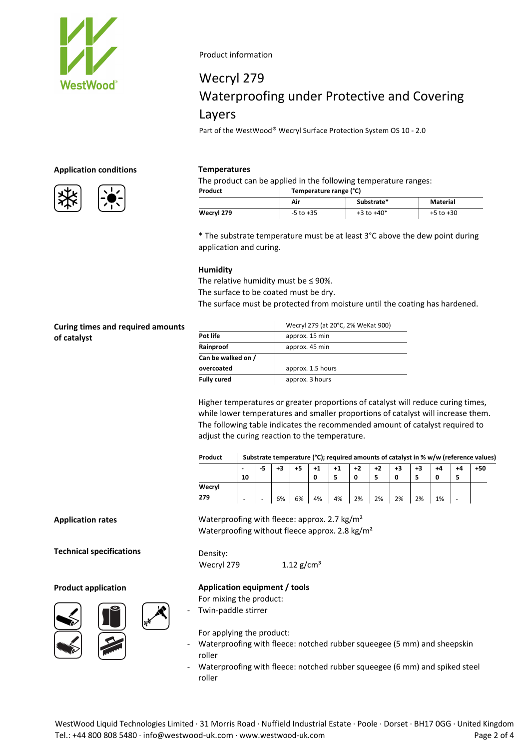

# Wecryl 279 Waterproofing under Protective and Covering Layers

Part of the WestWood® Wecryl Surface Protection System OS 10 ‐ 2.0

#### **Application conditions**



#### **Temperatures**

The product can be applied in the following temperature ranges:

| Product    | Temperature range (°C) |                |               |  |  |  |  |  |
|------------|------------------------|----------------|---------------|--|--|--|--|--|
|            | Air                    | Substrate*     | Material      |  |  |  |  |  |
| Wecryl 279 | $-5$ to $+35$          | $+3$ to $+40*$ | $+5$ to $+30$ |  |  |  |  |  |

\* The substrate temperature must be at least 3°C above the dew point during application and curing.

#### **Humidity**

The relative humidity must be  $\leq$  90%. The surface to be coated must be dry.

The surface must be protected from moisture until the coating has hardened.

**Curing times and required amounts of catalyst**

|                    | Wecryl 279 (at 20°C, 2% WeKat 900) |  |  |  |  |  |
|--------------------|------------------------------------|--|--|--|--|--|
| Pot life           | approx. 15 min                     |  |  |  |  |  |
| Rainproof          | approx. 45 min                     |  |  |  |  |  |
| Can be walked on / |                                    |  |  |  |  |  |
| overcoated         | approx. 1.5 hours                  |  |  |  |  |  |
| <b>Fully cured</b> | approx. 3 hours                    |  |  |  |  |  |

Higher temperatures or greater proportions of catalyst will reduce curing times, while lower temperatures and smaller proportions of catalyst will increase them. The following table indicates the recommended amount of catalyst required to adjust the curing reaction to the temperature.

| Product | Substrate temperature (°C); required amounts of catalyst in % w/w (reference values) |   |    |    |    |      |      |    |    |    |    |     |
|---------|--------------------------------------------------------------------------------------|---|----|----|----|------|------|----|----|----|----|-----|
|         | 10                                                                                   |   | +3 |    |    | $+1$ | $+2$ | +2 | +3 |    | +4 | +50 |
| Wecryl  |                                                                                      |   |    |    |    |      |      |    |    |    |    |     |
| 279     | $\overline{\phantom{0}}$                                                             | - | 6% | 6% | 4% | 4%   | 2%   | 2% | 2% | 2% | 1% |     |

#### **Application rates**

**Technical specifications**

**Product application**



Waterproofing with fleece: approx. 2.7 kg/m<sup>2</sup> Waterproofing without fleece approx. 2.8 kg/m²

Density: Wecryl 279  $1.12$  g/cm<sup>3</sup>

**Application equipment / tools** For mixing the product:

‐ Twin‐paddle stirrer

For applying the product:

- Waterproofing with fleece: notched rubber squeegee (5 mm) and sheepskin roller
- ‐ Waterproofing with fleece: notched rubber squeegee (6 mm) and spiked steel roller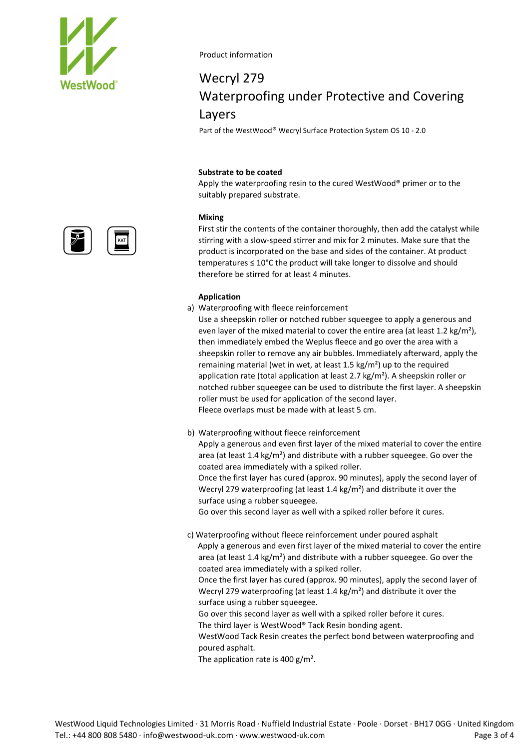

## Wecryl 279 Waterproofing under Protective and Covering Layers

Part of the WestWood® Wecryl Surface Protection System OS 10 ‐ 2.0

### **Substrate to be coated**

Apply the waterproofing resin to the cured WestWood® primer or to the suitably prepared substrate.

#### **Mixing**

First stir the contents of the container thoroughly, then add the catalyst while stirring with a slow‐speed stirrer and mix for 2 minutes. Make sure that the product is incorporated on the base and sides of the container. At product temperatures ≤ 10°C the product will take longer to dissolve and should therefore be stirred for at least 4 minutes.

#### **Application**

a) Waterproofing with fleece reinforcement

Use a sheepskin roller or notched rubber squeegee to apply a generous and even layer of the mixed material to cover the entire area (at least 1.2 kg/m<sup>2</sup>), then immediately embed the Weplus fleece and go over the area with a sheepskin roller to remove any air bubbles. Immediately afterward, apply the remaining material (wet in wet, at least 1.5 kg/m²) up to the required application rate (total application at least 2.7 kg/m²). A sheepskin roller or notched rubber squeegee can be used to distribute the first layer. A sheepskin roller must be used for application of the second layer. Fleece overlaps must be made with at least 5 cm.

b) Waterproofing without fleece reinforcement

Apply a generous and even first layer of the mixed material to cover the entire area (at least 1.4 kg/m²) and distribute with a rubber squeegee. Go over the coated area immediately with a spiked roller. Once the first layer has cured (approx. 90 minutes), apply the second layer of Wecryl 279 waterproofing (at least 1.4 kg/m²) and distribute it over the surface using a rubber squeegee.

Go over this second layer as well with a spiked roller before it cures.

c) Waterproofing without fleece reinforcement under poured asphalt Apply a generous and even first layer of the mixed material to cover the entire area (at least 1.4 kg/m²) and distribute with a rubber squeegee. Go over the coated area immediately with a spiked roller.

Once the first layer has cured (approx. 90 minutes), apply the second layer of Wecryl 279 waterproofing (at least 1.4 kg/m²) and distribute it over the surface using a rubber squeegee.

Go over this second layer as well with a spiked roller before it cures. The third layer is WestWood® Tack Resin bonding agent.

WestWood Tack Resin creates the perfect bond between waterproofing and poured asphalt.

The application rate is 400 g/m².